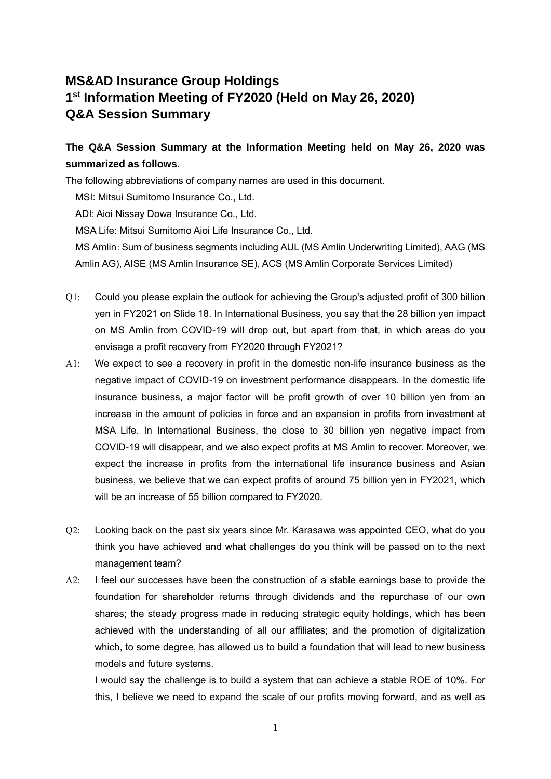## **MS&AD Insurance Group Holdings 1 st Information Meeting of FY2020 (Held on May 26, 2020) Q&A Session Summary**

## **The Q&A Session Summary at the Information Meeting held on May 26, 2020 was summarized as follows.**

The following abbreviations of company names are used in this document.

MSI: Mitsui Sumitomo Insurance Co., Ltd.

ADI: Aioi Nissay Dowa Insurance Co., Ltd.

MSA Life: Mitsui Sumitomo Aioi Life Insurance Co., Ltd.

MS Amlin:Sum of business segments including AUL (MS Amlin Underwriting Limited), AAG (MS Amlin AG), AISE (MS Amlin Insurance SE), ACS (MS Amlin Corporate Services Limited)

- Q1: Could you please explain the outlook for achieving the Group's adjusted profit of 300 billion yen in FY2021 on Slide 18. In International Business, you say that the 28 billion yen impact on MS Amlin from COVID-19 will drop out, but apart from that, in which areas do you envisage a profit recovery from FY2020 through FY2021?
- A1: We expect to see a recovery in profit in the domestic non-life insurance business as the negative impact of COVID-19 on investment performance disappears. In the domestic life insurance business, a major factor will be profit growth of over 10 billion yen from an increase in the amount of policies in force and an expansion in profits from investment at MSA Life. In International Business, the close to 30 billion yen negative impact from COVID-19 will disappear, and we also expect profits at MS Amlin to recover. Moreover, we expect the increase in profits from the international life insurance business and Asian business, we believe that we can expect profits of around 75 billion yen in FY2021, which will be an increase of 55 billion compared to FY2020.
- Q2: Looking back on the past six years since Mr. Karasawa was appointed CEO, what do you think you have achieved and what challenges do you think will be passed on to the next management team?
- A2: I feel our successes have been the construction of a stable earnings base to provide the foundation for shareholder returns through dividends and the repurchase of our own shares; the steady progress made in reducing strategic equity holdings, which has been achieved with the understanding of all our affiliates; and the promotion of digitalization which, to some degree, has allowed us to build a foundation that will lead to new business models and future systems.

I would say the challenge is to build a system that can achieve a stable ROE of 10%. For this, I believe we need to expand the scale of our profits moving forward, and as well as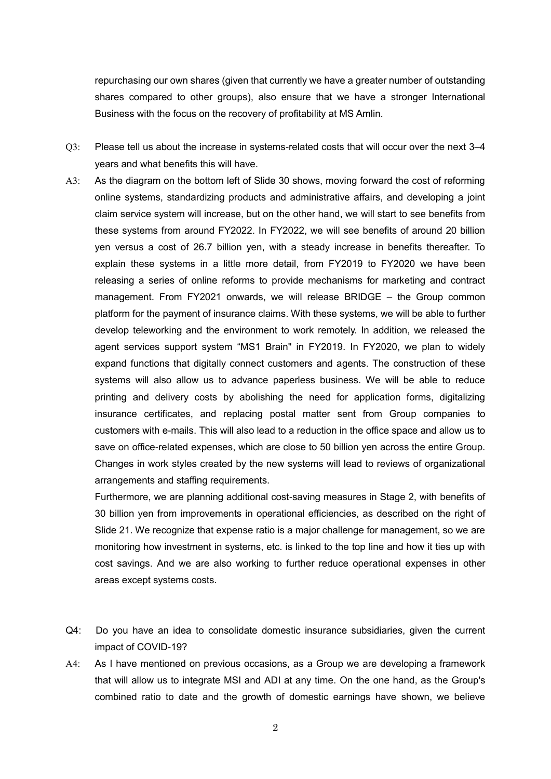repurchasing our own shares (given that currently we have a greater number of outstanding shares compared to other groups), also ensure that we have a stronger International Business with the focus on the recovery of profitability at MS Amlin.

- Q3: Please tell us about the increase in systems-related costs that will occur over the next 3–4 years and what benefits this will have.
- A3: As the diagram on the bottom left of Slide 30 shows, moving forward the cost of reforming online systems, standardizing products and administrative affairs, and developing a joint claim service system will increase, but on the other hand, we will start to see benefits from these systems from around FY2022. In FY2022, we will see benefits of around 20 billion yen versus a cost of 26.7 billion yen, with a steady increase in benefits thereafter. To explain these systems in a little more detail, from FY2019 to FY2020 we have been releasing a series of online reforms to provide mechanisms for marketing and contract management. From FY2021 onwards, we will release BRIDGE – the Group common platform for the payment of insurance claims. With these systems, we will be able to further develop teleworking and the environment to work remotely. In addition, we released the agent services support system "MS1 Brain" in FY2019. In FY2020, we plan to widely expand functions that digitally connect customers and agents. The construction of these systems will also allow us to advance paperless business. We will be able to reduce printing and delivery costs by abolishing the need for application forms, digitalizing insurance certificates, and replacing postal matter sent from Group companies to customers with e-mails. This will also lead to a reduction in the office space and allow us to save on office-related expenses, which are close to 50 billion yen across the entire Group. Changes in work styles created by the new systems will lead to reviews of organizational arrangements and staffing requirements.

Furthermore, we are planning additional cost-saving measures in Stage 2, with benefits of 30 billion yen from improvements in operational efficiencies, as described on the right of Slide 21. We recognize that expense ratio is a major challenge for management, so we are monitoring how investment in systems, etc. is linked to the top line and how it ties up with cost savings. And we are also working to further reduce operational expenses in other areas except systems costs.

- Q4: Do you have an idea to consolidate domestic insurance subsidiaries, given the current impact of COVID-19?
- A4: As I have mentioned on previous occasions, as a Group we are developing a framework that will allow us to integrate MSI and ADI at any time. On the one hand, as the Group's combined ratio to date and the growth of domestic earnings have shown, we believe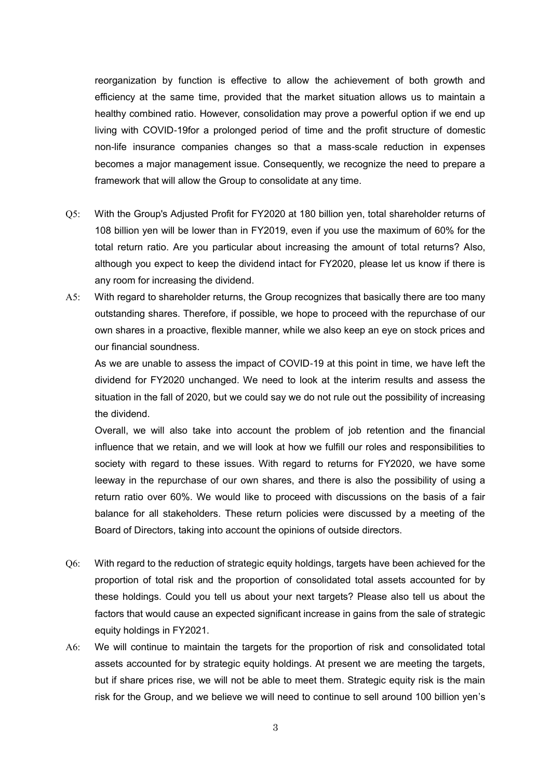reorganization by function is effective to allow the achievement of both growth and efficiency at the same time, provided that the market situation allows us to maintain a healthy combined ratio. However, consolidation may prove a powerful option if we end up living with COVID-19for a prolonged period of time and the profit structure of domestic non-life insurance companies changes so that a mass-scale reduction in expenses becomes a major management issue. Consequently, we recognize the need to prepare a framework that will allow the Group to consolidate at any time.

- Q5: With the Group's Adjusted Profit for FY2020 at 180 billion yen, total shareholder returns of 108 billion yen will be lower than in FY2019, even if you use the maximum of 60% for the total return ratio. Are you particular about increasing the amount of total returns? Also, although you expect to keep the dividend intact for FY2020, please let us know if there is any room for increasing the dividend.
- A5: With regard to shareholder returns, the Group recognizes that basically there are too many outstanding shares. Therefore, if possible, we hope to proceed with the repurchase of our own shares in a proactive, flexible manner, while we also keep an eye on stock prices and our financial soundness.

As we are unable to assess the impact of COVID-19 at this point in time, we have left the dividend for FY2020 unchanged. We need to look at the interim results and assess the situation in the fall of 2020, but we could say we do not rule out the possibility of increasing the dividend.

Overall, we will also take into account the problem of job retention and the financial influence that we retain, and we will look at how we fulfill our roles and responsibilities to society with regard to these issues. With regard to returns for FY2020, we have some leeway in the repurchase of our own shares, and there is also the possibility of using a return ratio over 60%. We would like to proceed with discussions on the basis of a fair balance for all stakeholders. These return policies were discussed by a meeting of the Board of Directors, taking into account the opinions of outside directors.

- Q6: With regard to the reduction of strategic equity holdings, targets have been achieved for the proportion of total risk and the proportion of consolidated total assets accounted for by these holdings. Could you tell us about your next targets? Please also tell us about the factors that would cause an expected significant increase in gains from the sale of strategic equity holdings in FY2021.
- A6: We will continue to maintain the targets for the proportion of risk and consolidated total assets accounted for by strategic equity holdings. At present we are meeting the targets, but if share prices rise, we will not be able to meet them. Strategic equity risk is the main risk for the Group, and we believe we will need to continue to sell around 100 billion yen's